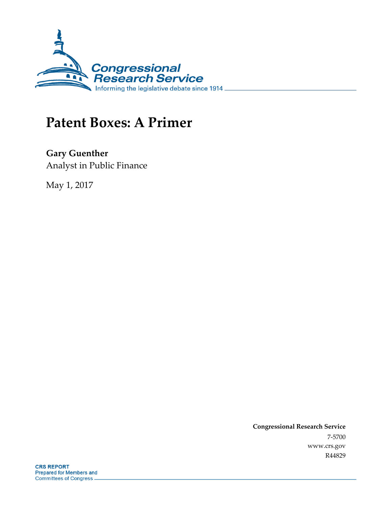

# **Patent Boxes: A Primer**

**Gary Guenther** Analyst in Public Finance

May 1, 2017

**Congressional Research Service** 7-5700 www.crs.gov R44829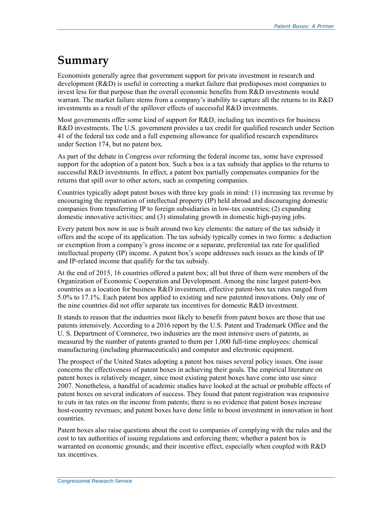## **Summary**

Economists generally agree that government support for private investment in research and development (R&D) is useful in correcting a market failure that predisposes most companies to invest less for that purpose than the overall economic benefits from R&D investments would warrant. The market failure stems from a company's inability to capture all the returns to its R&D investments as a result of the spillover effects of successful R&D investments.

Most governments offer some kind of support for R&D, including tax incentives for business R&D investments. The U.S. government provides a tax credit for qualified research under Section 41 of the federal tax code and a full expensing allowance for qualified research expenditures under Section 174, but no patent box.

As part of the debate in Congress over reforming the federal income tax, some have expressed support for the adoption of a patent box. Such a box is a tax subsidy that applies to the returns to successful R&D investments. In effect, a patent box partially compensates companies for the returns that spill over to other actors, such as competing companies.

Countries typically adopt patent boxes with three key goals in mind: (1) increasing tax revenue by encouraging the repatriation of intellectual property (IP) held abroad and discouraging domestic companies from transferring IP to foreign subsidiaries in low-tax countries; (2) expanding domestic innovative activities; and (3) stimulating growth in domestic high-paying jobs.

Every patent box now in use is built around two key elements: the nature of the tax subsidy it offers and the scope of its application. The tax subsidy typically comes in two forms: a deduction or exemption from a company's gross income or a separate, preferential tax rate for qualified intellectual property (IP) income. A patent box's scope addresses such issues as the kinds of IP and IP-related income that qualify for the tax subsidy.

At the end of 2015, 16 countries offered a patent box; all but three of them were members of the Organization of Economic Cooperation and Development. Among the nine largest patent-box countries as a location for business R&D investment, effective patent-box tax rates ranged from 5.0% to 17.1%. Each patent box applied to existing and new patented innovations. Only one of the nine countries did not offer separate tax incentives for domestic R&D investment.

It stands to reason that the industries most likely to benefit from patent boxes are those that use patents intensively. According to a 2016 report by the U.S. Patent and Trademark Office and the U. S. Department of Commerce, two industries are the most intensive users of patents, as measured by the number of patents granted to them per 1,000 full-time employees: chemical manufacturing (including pharmaceuticals) and computer and electronic equipment.

The prospect of the United States adopting a patent box raises several policy issues. One issue concerns the effectiveness of patent boxes in achieving their goals. The empirical literature on patent boxes is relatively meager, since most existing patent boxes have come into use since 2007. Nonetheless, a handful of academic studies have looked at the actual or probable effects of patent boxes on several indicators of success. They found that patent registration was responsive to cuts in tax rates on the income from patents; there is no evidence that patent boxes increase host-country revenues; and patent boxes have done little to boost investment in innovation in host countries.

Patent boxes also raise questions about the cost to companies of complying with the rules and the cost to tax authorities of issuing regulations and enforcing them; whether a patent box is warranted on economic grounds; and their incentive effect, especially when coupled with R&D tax incentives.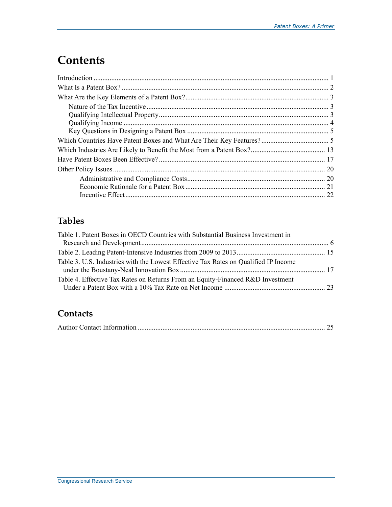## **Contents**

### **Tables**

| Table 1. Patent Boxes in OECD Countries with Substantial Business Investment in     |  |
|-------------------------------------------------------------------------------------|--|
|                                                                                     |  |
|                                                                                     |  |
| Table 3. U.S. Industries with the Lowest Effective Tax Rates on Qualified IP Income |  |
| Table 4. Effective Tax Rates on Returns From an Equity-Financed R&D Investment      |  |

#### **Contacts**

|--|--|--|--|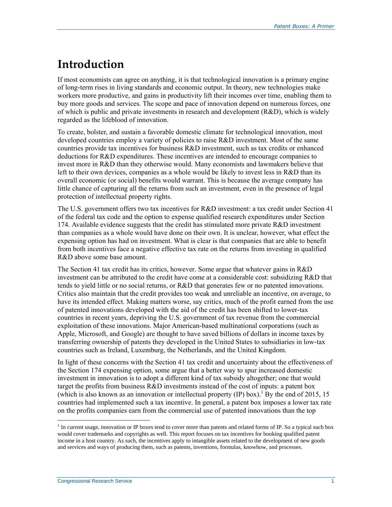## **Introduction**

If most economists can agree on anything, it is that technological innovation is a primary engine of long-term rises in living standards and economic output. In theory, new technologies make workers more productive, and gains in productivity lift their incomes over time, enabling them to buy more goods and services. The scope and pace of innovation depend on numerous forces, one of which is public and private investments in research and development  $(R&D)$ , which is widely regarded as the lifeblood of innovation.

To create, bolster, and sustain a favorable domestic climate for technological innovation, most developed countries employ a variety of policies to raise R&D investment. Most of the same countries provide tax incentives for business R&D investment, such as tax credits or enhanced deductions for R&D expenditures. These incentives are intended to encourage companies to invest more in R&D than they otherwise would. Many economists and lawmakers believe that left to their own devices, companies as a whole would be likely to invest less in R&D than its overall economic (or social) benefits would warrant. This is because the average company has little chance of capturing all the returns from such an investment, even in the presence of legal protection of intellectual property rights.

The U.S. government offers two tax incentives for R&D investment: a tax credit under Section 41 of the federal tax code and the option to expense qualified research expenditures under Section 174. Available evidence suggests that the credit has stimulated more private R&D investment than companies as a whole would have done on their own. It is unclear, however, what effect the expensing option has had on investment. What is clear is that companies that are able to benefit from both incentives face a negative effective tax rate on the returns from investing in qualified R&D above some base amount.

The Section 41 tax credit has its critics, however. Some argue that whatever gains in R&D investment can be attributed to the credit have come at a considerable cost: subsidizing R&D that tends to yield little or no social returns, or R&D that generates few or no patented innovations. Critics also maintain that the credit provides too weak and unreliable an incentive, on average, to have its intended effect. Making matters worse, say critics, much of the profit earned from the use of patented innovations developed with the aid of the credit has been shifted to lower-tax countries in recent years, depriving the U.S. government of tax revenue from the commercial exploitation of these innovations. Major American-based multinational corporations (such as Apple, Microsoft, and Google) are thought to have saved billions of dollars in income taxes by transferring ownership of patents they developed in the United States to subsidiaries in low-tax countries such as Ireland, Luxemburg, the Netherlands, and the United Kingdom.

In light of these concerns with the Section 41 tax credit and uncertainty about the effectiveness of the Section 174 expensing option, some argue that a better way to spur increased domestic investment in innovation is to adopt a different kind of tax subsidy altogether; one that would target the profits from business R&D investments instead of the cost of inputs: a patent box (which is also known as an innovation or intellectual property  $(IP)$  box).<sup>1</sup> By the end of 2015, 15 countries had implemented such a tax incentive. In general, a patent box imposes a lower tax rate on the profits companies earn from the commercial use of patented innovations than the top

<sup>&</sup>lt;sup>1</sup> In current usage, innovation or IP boxes tend to cover more than patents and related forms of IP. So a typical such box would cover trademarks and copyrights as well. This report focuses on tax incentives for booking qualified patent income in a host country. As such, the incentives apply to intangible assets related to the development of new goods and services and ways of producing them, such as patents, inventions, formulas, knowhow, and processes.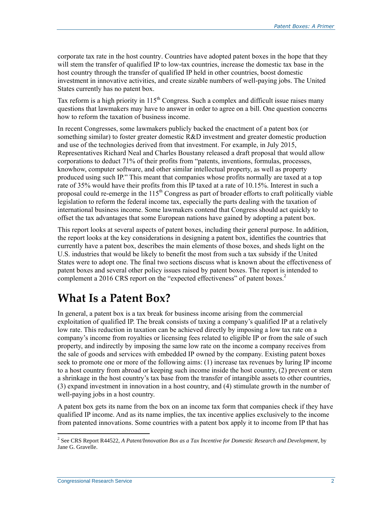corporate tax rate in the host country. Countries have adopted patent boxes in the hope that they will stem the transfer of qualified IP to low-tax countries, increase the domestic tax base in the host country through the transfer of qualified IP held in other countries, boost domestic investment in innovative activities, and create sizable numbers of well-paying jobs. The United States currently has no patent box.

Tax reform is a high priority in  $115^{th}$  Congress. Such a complex and difficult issue raises many questions that lawmakers may have to answer in order to agree on a bill. One question concerns how to reform the taxation of business income.

In recent Congresses, some lawmakers publicly backed the enactment of a patent box (or something similar) to foster greater domestic R&D investment and greater domestic production and use of the technologies derived from that investment. For example, in July 2015, Representatives Richard Neal and Charles Boustany released a draft proposal that would allow corporations to deduct 71% of their profits from "patents, inventions, formulas, processes, knowhow, computer software, and other similar intellectual property, as well as property produced using such IP." This meant that companies whose profits normally are taxed at a top rate of 35% would have their profits from this IP taxed at a rate of 10.15%. Interest in such a proposal could re-emerge in the  $115<sup>th</sup>$  Congress as part of broader efforts to craft politically viable legislation to reform the federal income tax, especially the parts dealing with the taxation of international business income. Some lawmakers contend that Congress should act quickly to offset the tax advantages that some European nations have gained by adopting a patent box.

This report looks at several aspects of patent boxes, including their general purpose. In addition, the report looks at the key considerations in designing a patent box, identifies the countries that currently have a patent box, describes the main elements of those boxes, and sheds light on the U.S. industries that would be likely to benefit the most from such a tax subsidy if the United States were to adopt one. The final two sections discuss what is known about the effectiveness of patent boxes and several other policy issues raised by patent boxes. The report is intended to complement a 2016 CRS report on the "expected effectiveness" of patent boxes.<sup>2</sup>

## **What Is a Patent Box?**

In general, a patent box is a tax break for business income arising from the commercial exploitation of qualified IP. The break consists of taxing a company's qualified IP at a relatively low rate. This reduction in taxation can be achieved directly by imposing a low tax rate on a company's income from royalties or licensing fees related to eligible IP or from the sale of such property, and indirectly by imposing the same low rate on the income a company receives from the sale of goods and services with embedded IP owned by the company. Existing patent boxes seek to promote one or more of the following aims: (1) increase tax revenues by luring IP income to a host country from abroad or keeping such income inside the host country, (2) prevent or stem a shrinkage in the host country's tax base from the transfer of intangible assets to other countries, (3) expand investment in innovation in a host country, and (4) stimulate growth in the number of well-paying jobs in a host country.

A patent box gets its name from the box on an income tax form that companies check if they have qualified IP income. And as its name implies, the tax incentive applies exclusively to the income from patented innovations. Some countries with a patent box apply it to income from IP that has

 2 See CRS Report R44522, *A Patent/Innovation Box as a Tax Incentive for Domestic Research and Development*, by Jane G. Gravelle.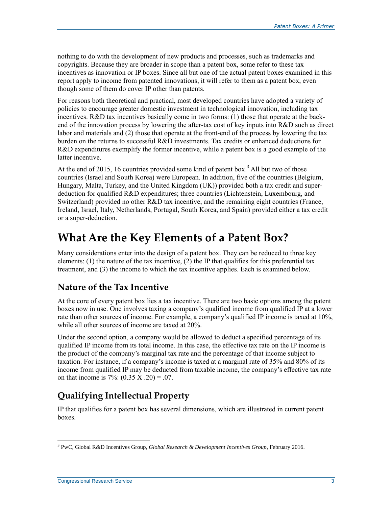nothing to do with the development of new products and processes, such as trademarks and copyrights. Because they are broader in scope than a patent box, some refer to these tax incentives as innovation or IP boxes. Since all but one of the actual patent boxes examined in this report apply to income from patented innovations, it will refer to them as a patent box, even though some of them do cover IP other than patents.

For reasons both theoretical and practical, most developed countries have adopted a variety of policies to encourage greater domestic investment in technological innovation, including tax incentives. R&D tax incentives basically come in two forms: (1) those that operate at the backend of the innovation process by lowering the after-tax cost of key inputs into R&D such as direct labor and materials and (2) those that operate at the front-end of the process by lowering the tax burden on the returns to successful R&D investments. Tax credits or enhanced deductions for R&D expenditures exemplify the former incentive, while a patent box is a good example of the latter incentive.

At the end of 2015, 16 countries provided some kind of patent box.<sup>3</sup> All but two of those countries (Israel and South Korea) were European. In addition, five of the countries (Belgium, Hungary, Malta, Turkey, and the United Kingdom (UK)) provided both a tax credit and superdeduction for qualified R&D expenditures; three countries (Lichtenstein, Luxembourg, and Switzerland) provided no other R&D tax incentive, and the remaining eight countries (France, Ireland, Israel, Italy, Netherlands, Portugal, South Korea, and Spain) provided either a tax credit or a super-deduction.

## **What Are the Key Elements of a Patent Box?**

Many considerations enter into the design of a patent box. They can be reduced to three key elements: (1) the nature of the tax incentive, (2) the IP that qualifies for this preferential tax treatment, and (3) the income to which the tax incentive applies. Each is examined below.

#### **Nature of the Tax Incentive**

At the core of every patent box lies a tax incentive. There are two basic options among the patent boxes now in use. One involves taxing a company's qualified income from qualified IP at a lower rate than other sources of income. For example, a company's qualified IP income is taxed at 10%, while all other sources of income are taxed at 20%.

Under the second option, a company would be allowed to deduct a specified percentage of its qualified IP income from its total income. In this case, the effective tax rate on the IP income is the product of the company's marginal tax rate and the percentage of that income subject to taxation. For instance, if a company's income is taxed at a marginal rate of 35% and 80% of its income from qualified IP may be deducted from taxable income, the company's effective tax rate on that income is  $7\%$ :  $(0.35 \text{ X} \cdot 20) = 0.07$ .

### **Qualifying Intellectual Property**

IP that qualifies for a patent box has several dimensions, which are illustrated in current patent boxes.

 $\overline{a}$ 3 PwC, Global R&D Incentives Group, *Global Research & Development Incentives Group*, February 2016.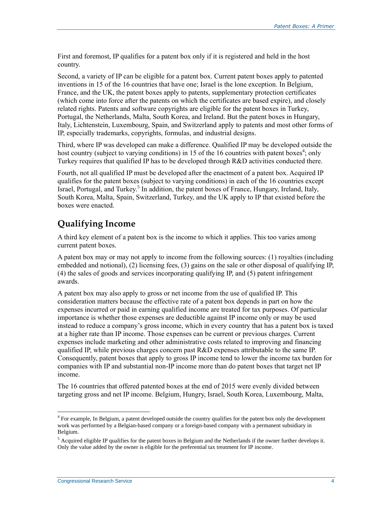First and foremost, IP qualifies for a patent box only if it is registered and held in the host country.

Second, a variety of IP can be eligible for a patent box. Current patent boxes apply to patented inventions in 15 of the 16 countries that have one; Israel is the lone exception. In Belgium, France, and the UK, the patent boxes apply to patents, supplementary protection certificates (which come into force after the patents on which the certificates are based expire), and closely related rights. Patents and software copyrights are eligible for the patent boxes in Turkey, Portugal, the Netherlands, Malta, South Korea, and Ireland. But the patent boxes in Hungary, Italy, Lichtenstein, Luxembourg, Spain, and Switzerland apply to patents and most other forms of IP, especially trademarks, copyrights, formulas, and industrial designs.

Third, where IP was developed can make a difference. Qualified IP may be developed outside the host country (subject to varying conditions) in 15 of the 16 countries with patent boxes<sup>4</sup>; only Turkey requires that qualified IP has to be developed through R&D activities conducted there.

Fourth, not all qualified IP must be developed after the enactment of a patent box. Acquired IP qualifies for the patent boxes (subject to varying conditions) in each of the 16 countries except Israel, Portugal, and Turkey.<sup>5</sup> In addition, the patent boxes of France, Hungary, Ireland, Italy, South Korea, Malta, Spain, Switzerland, Turkey, and the UK apply to IP that existed before the boxes were enacted.

#### **Qualifying Income**

A third key element of a patent box is the income to which it applies. This too varies among current patent boxes.

A patent box may or may not apply to income from the following sources: (1) royalties (including embedded and notional), (2) licensing fees, (3) gains on the sale or other disposal of qualifying IP, (4) the sales of goods and services incorporating qualifying IP, and (5) patent infringement awards.

A patent box may also apply to gross or net income from the use of qualified IP. This consideration matters because the effective rate of a patent box depends in part on how the expenses incurred or paid in earning qualified income are treated for tax purposes. Of particular importance is whether those expenses are deductible against IP income only or may be used instead to reduce a company's gross income, which in every country that has a patent box is taxed at a higher rate than IP income. Those expenses can be current or previous charges. Current expenses include marketing and other administrative costs related to improving and financing qualified IP, while previous charges concern past R&D expenses attributable to the same IP. Consequently, patent boxes that apply to gross IP income tend to lower the income tax burden for companies with IP and substantial non-IP income more than do patent boxes that target net IP income.

The 16 countries that offered patented boxes at the end of 2015 were evenly divided between targeting gross and net IP income. Belgium, Hungry, Israel, South Korea, Luxembourg, Malta,

<sup>&</sup>lt;sup>4</sup> For example, In Belgium, a patent developed outside the country qualifies for the patent box only the development work was performed by a Belgian-based company or a foreign-based company with a permanent subsidiary in Belgium.

<sup>&</sup>lt;sup>5</sup> Acquired eligible IP qualifies for the patent boxes in Belgium and the Netherlands if the owner further develops it. Only the value added by the owner is eligible for the preferential tax treatment for IP income.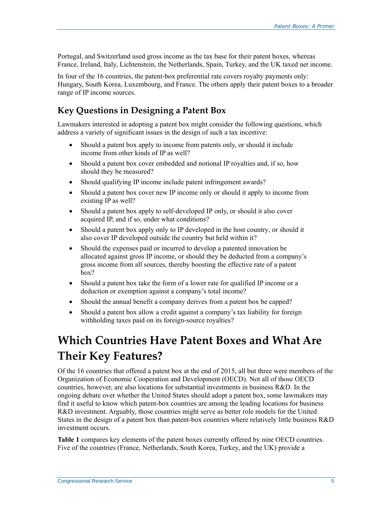Portugal, and Switzerland used gross income as the tax base for their patent boxes, whereas France, Ireland, Italy, Lichtenstein, the Netherlands, Spain, Turkey, and the UK taxed net income.

In four of the 16 countries, the patent-box preferential rate covers royalty payments only: Hungary, South Korea, Luxembourg, and France. The others apply their patent boxes to a broader range of IP income sources.

#### **Key Questions in Designing a Patent Box**

Lawmakers interested in adopting a patent box might consider the following questions, which address a variety of significant issues in the design of such a tax incentive:

- Should a patent box apply to income from patents only, or should it include income from other kinds of IP as well?
- Should a patent box cover embedded and notional IP royalties and, if so, how should they be measured?
- Should qualifying IP income include patent infringement awards?
- Should a patent box cover new IP income only or should it apply to income from existing IP as well?
- Should a patent box apply to self-developed IP only, or should it also cover acquired IP, and if so, under what conditions?
- Should a patent box apply only to IP developed in the host country, or should it also cover IP developed outside the country but held within it?
- Should the expenses paid or incurred to develop a patented innovation be allocated against gross IP income, or should they be deducted from a company's gross income from all sources, thereby boosting the effective rate of a patent box?
- Should a patent box take the form of a lower rate for qualified IP income or a deduction or exemption against a company's total income?
- Should the annual benefit a company derives from a patent box be capped?
- Should a patent box allow a credit against a company's tax liability for foreign withholding taxes paid on its foreign-source royalties?

## **Which Countries Have Patent Boxes and What Are Their Key Features?**

Of the 16 countries that offered a patent box at the end of 2015, all but three were members of the Organization of Economic Cooperation and Development (OECD). Not all of those OECD countries, however, are also locations for substantial investments in business R&D. In the ongoing debate over whether the United States should adopt a patent box, some lawmakers may find it useful to know which patent-box countries are among the leading locations for business R&D investment. Arguably, those countries might serve as better role models for the United States in the design of a patent box than patent-box countries where relatively little business R&D investment occurs.

**[Table 1](#page-8-0)** compares key elements of the patent boxes currently offered by nine OECD countries. Five of the countries (France, Netherlands, South Korea, Turkey, and the UK) provide a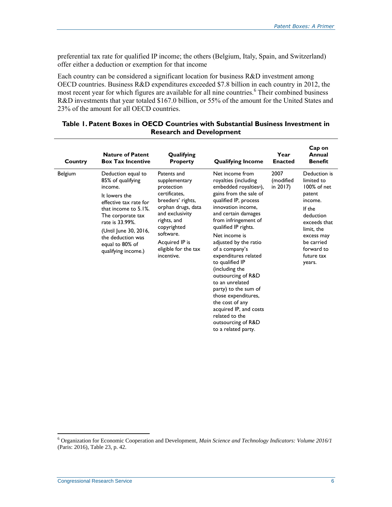preferential tax rate for qualified IP income; the others (Belgium, Italy, Spain, and Switzerland) offer either a deduction or exemption for that income

Each country can be considered a significant location for business R&D investment among OECD countries. Business R&D expenditures exceeded \$7.8 billion in each country in 2012, the most recent year for which figures are available for all nine countries.<sup>6</sup> Their combined business R&D investments that year totaled \$167.0 billion, or 55% of the amount for the United States and 23% of the amount for all OECD countries.

<span id="page-8-0"></span>

| Table 1. Patent Boxes in OECD Countries with Substantial Business Investment in |  |
|---------------------------------------------------------------------------------|--|
| <b>Research and Development</b>                                                 |  |

| Country        | <b>Nature of Patent</b><br><b>Box Tax Incentive</b>                                                                                                                                                                                                       | Qualifying<br><b>Property</b>                                                                                                                                                                                                | <b>Qualifying Income</b>                                                                                                                                                                                                                                                                                                                                                                                                                                                                                                                                   | Year<br><b>Enacted</b>           | Cap on<br>Annual<br><b>Benefit</b>                                                                                                                                                    |
|----------------|-----------------------------------------------------------------------------------------------------------------------------------------------------------------------------------------------------------------------------------------------------------|------------------------------------------------------------------------------------------------------------------------------------------------------------------------------------------------------------------------------|------------------------------------------------------------------------------------------------------------------------------------------------------------------------------------------------------------------------------------------------------------------------------------------------------------------------------------------------------------------------------------------------------------------------------------------------------------------------------------------------------------------------------------------------------------|----------------------------------|---------------------------------------------------------------------------------------------------------------------------------------------------------------------------------------|
| <b>Belgium</b> | Deduction equal to<br>85% of qualifying<br>income.<br>It lowers the<br>effective tax rate for<br>that income to $5.1\%$ .<br>The corporate tax<br>rate is 33.99%.<br>(Until June 30, 2016,<br>the deduction was<br>equal to 80% of<br>qualifying income.) | Patents and<br>supplementary<br>protection<br>certificates.<br>breeders' rights,<br>orphan drugs, data<br>and exclusivity<br>rights, and<br>copyrighted<br>software.<br>Acquired IP is<br>eligible for the tax<br>incentive. | Net income from<br>royalties (including<br>embedded royalties <sup>a</sup> ),<br>gains from the sale of<br>qualified IP, process<br>innovation income,<br>and certain damages<br>from infringement of<br>qualified IP rights.<br>Net income is<br>adjusted by the ratio<br>of a company's<br>expenditures related<br>to qualified IP<br>(including the<br>outsourcing of R&D<br>to an unrelated<br>party) to the sum of<br>those expenditures,<br>the cost of any<br>acquired IP, and costs<br>related to the<br>outsourcing of R&D<br>to a related party. | 2007<br>(modified<br>in $2017$ ) | Deduction is<br>limited to<br>100% of net<br>patent<br>income.<br>If the<br>deduction<br>exceeds that<br>limit. the<br>excess may<br>be carried<br>forward to<br>future tax<br>years. |

<sup>6</sup> Organization for Economic Cooperation and Development, *Main Science and Technology Indicators: Volume 2016/1* (Paris: 2016), Table 23, p. 42.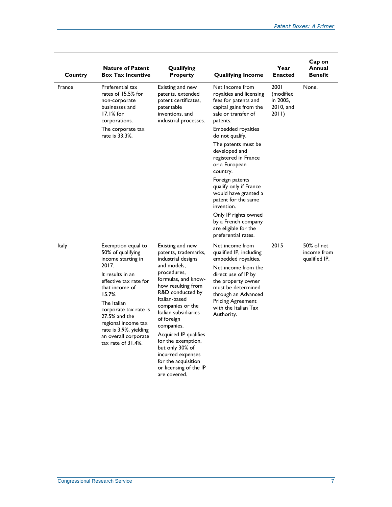| Country      | <b>Nature of Patent</b><br><b>Box Tax Incentive</b>                                                                                                                                                                                                                                                         | Qualifying<br><b>Property</b>                                                                                                                                                                                                                                                                                                                                                                                  | <b>Qualifying Income</b>                                                                                                                                                                                                                             | Year<br><b>Enacted</b>                              | Cap on<br>Annual<br><b>Benefit</b>         |
|--------------|-------------------------------------------------------------------------------------------------------------------------------------------------------------------------------------------------------------------------------------------------------------------------------------------------------------|----------------------------------------------------------------------------------------------------------------------------------------------------------------------------------------------------------------------------------------------------------------------------------------------------------------------------------------------------------------------------------------------------------------|------------------------------------------------------------------------------------------------------------------------------------------------------------------------------------------------------------------------------------------------------|-----------------------------------------------------|--------------------------------------------|
| France       | Preferential tax<br>rates of 15.5% for<br>non-corporate<br>businesses and<br>$17.1%$ for<br>corporations.                                                                                                                                                                                                   | Existing and new<br>patents, extended<br>patent certificates,<br>patentable<br>inventions, and<br>industrial processes.                                                                                                                                                                                                                                                                                        | Net Income from<br>royalties and licensing<br>fees for patents and<br>capital gains from the<br>sale or transfer of<br>patents.                                                                                                                      | 2001<br>(modified<br>in 2005,<br>2010, and<br>2011) | None.                                      |
|              | The corporate tax<br>rate is 33.3%.                                                                                                                                                                                                                                                                         |                                                                                                                                                                                                                                                                                                                                                                                                                | Embedded royalties<br>do not qualify.                                                                                                                                                                                                                |                                                     |                                            |
|              |                                                                                                                                                                                                                                                                                                             |                                                                                                                                                                                                                                                                                                                                                                                                                | The patents must be<br>developed and<br>registered in France<br>or a European<br>country.                                                                                                                                                            |                                                     |                                            |
|              |                                                                                                                                                                                                                                                                                                             |                                                                                                                                                                                                                                                                                                                                                                                                                | Foreign patents<br>qualify only if France<br>would have granted a<br>patent for the same<br>invention.                                                                                                                                               |                                                     |                                            |
|              |                                                                                                                                                                                                                                                                                                             |                                                                                                                                                                                                                                                                                                                                                                                                                | Only IP rights owned<br>by a French company<br>are eligible for the<br>preferential rates.                                                                                                                                                           |                                                     |                                            |
| <b>Italy</b> | Exemption equal to<br>50% of qualifying<br>income starting in<br>2017.<br>It results in an<br>effective tax rate for<br>that income of<br>15.7%<br>The Italian<br>corporate tax rate is<br>27.5% and the<br>regional income tax<br>rate is 3.9%, yielding<br>an overall corporate<br>tax rate of $31.4\%$ . | Existing and new<br>patents, trademarks,<br>industrial designs<br>and models,<br>procedures,<br>formulas, and know-<br>how resulting from<br>R&D conducted by<br>Italian-based<br>companies or the<br>Italian subsidiaries<br>of foreign<br>companies.<br>Acquired IP qualifies<br>for the exemption,<br>but only 30% of<br>incurred expenses<br>for the acquisition<br>or licensing of the IP<br>are covered. | Net income from<br>qualified IP, including<br>embedded royalties.<br>Net income from the<br>direct use of IP by<br>the property owner<br>must be determined<br>through an Advanced<br><b>Pricing Agreement</b><br>with the Italian Tax<br>Authority. | 2015                                                | 50% of net<br>income from<br>qualified IP. |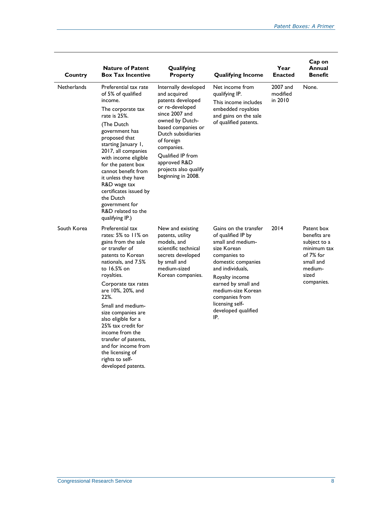| Country            | <b>Nature of Patent</b><br><b>Box Tax Incentive</b>                                                                                                                                                                                                                                                                                                                                                                                  | Qualifying<br><b>Property</b>                                                                                                                                                                                                                                                        | <b>Qualifying Income</b>                                                                                                                                                                                                                                                    | Year<br><b>Enacted</b>          | Cap on<br>Annual<br><b>Benefit</b>                                                                                    |
|--------------------|--------------------------------------------------------------------------------------------------------------------------------------------------------------------------------------------------------------------------------------------------------------------------------------------------------------------------------------------------------------------------------------------------------------------------------------|--------------------------------------------------------------------------------------------------------------------------------------------------------------------------------------------------------------------------------------------------------------------------------------|-----------------------------------------------------------------------------------------------------------------------------------------------------------------------------------------------------------------------------------------------------------------------------|---------------------------------|-----------------------------------------------------------------------------------------------------------------------|
| <b>Netherlands</b> | Preferential tax rate<br>of 5% of qualified<br>income.<br>The corporate tax<br>rate is 25%.<br>(The Dutch<br>government has<br>proposed that<br>starting January 1,<br>2017, all companies<br>with income eligible<br>for the patent box<br>cannot benefit from<br>it unless they have<br>R&D wage tax<br>certificates issued by<br>the Dutch<br>government for<br>R&D related to the<br>qualifying IP.)                             | Internally developed<br>and acquired<br>patents developed<br>or re-developed<br>since 2007 and<br>owned by Dutch-<br>based companies or<br>Dutch subsidiaries<br>of foreign<br>companies.<br><b>Oualified IP from</b><br>approved R&D<br>projects also qualify<br>beginning in 2008. | Net income from<br>qualifying IP.<br>This income includes<br>embedded royalties<br>and gains on the sale<br>of qualified patents.                                                                                                                                           | 2007 and<br>modified<br>in 2010 | None.                                                                                                                 |
| South Korea        | Preferential tax<br>rates: 5% to 11% on<br>gains from the sale<br>or transfer of<br>patents to Korean<br>nationals, and 7.5%<br>to 16.5% on<br>royalties.<br>Corporate tax rates<br>are 10%, 20%, and<br>22%.<br>Small and medium-<br>size companies are<br>also eligible for a<br>25% tax credit for<br>income from the<br>transfer of patents,<br>and for income from<br>the licensing of<br>rights to self-<br>developed patents. | New and existing<br>patents, utility<br>models, and<br>scientific technical<br>secrets developed<br>by small and<br>medium-sized<br>Korean companies.                                                                                                                                | Gains on the transfer<br>of qualified IP by<br>small and medium-<br>size Korean<br>companies to<br>domestic companies<br>and individuals,<br>Royalty income<br>earned by small and<br>medium-size Korean<br>companies from<br>licensing self-<br>developed qualified<br>IP. | 2014                            | Patent box<br>benefits are<br>subject to a<br>minimum tax<br>of 7% for<br>small and<br>medium-<br>sized<br>companies. |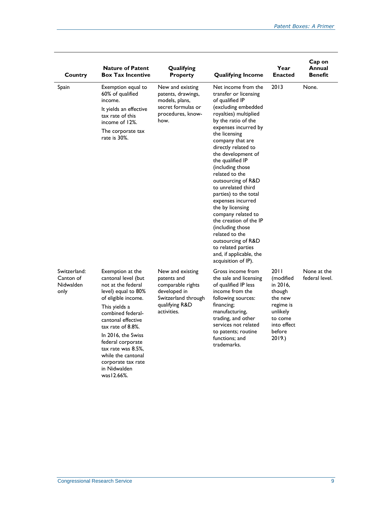| Country                                        | <b>Nature of Patent</b><br><b>Box Tax Incentive</b>                                                                                                                                                                                                                                                                       | Qualifying<br><b>Property</b>                                                                                                | <b>Qualifying Income</b>                                                                                                                                                                                                                                                                                                                                                                                                                                                                                                                                                               | Year<br><b>Enacted</b>                                                                                                    | Cap on<br>Annual<br><b>Benefit</b> |
|------------------------------------------------|---------------------------------------------------------------------------------------------------------------------------------------------------------------------------------------------------------------------------------------------------------------------------------------------------------------------------|------------------------------------------------------------------------------------------------------------------------------|----------------------------------------------------------------------------------------------------------------------------------------------------------------------------------------------------------------------------------------------------------------------------------------------------------------------------------------------------------------------------------------------------------------------------------------------------------------------------------------------------------------------------------------------------------------------------------------|---------------------------------------------------------------------------------------------------------------------------|------------------------------------|
| Spain                                          | Exemption equal to<br>60% of qualified<br>income.<br>It yields an effective<br>tax rate of this<br>income of 12%.<br>The corporate tax<br>rate is 30%.                                                                                                                                                                    | New and existing<br>patents, drawings,<br>models, plans,<br>secret formulas or<br>procedures, know-<br>how.                  | Net income from the<br>transfer or licensing<br>of qualified IP<br>(excluding embedded<br>royalties) multiplied<br>by the ratio of the<br>expenses incurred by<br>the licensing<br>company that are<br>directly related to<br>the development of<br>the qualified IP<br>(including those<br>related to the<br>outsourcing of R&D<br>to unrelated third<br>parties) to the total<br>expenses incurred<br>the by licensing<br>company related to<br>the creation of the IP<br>(including those)<br>related to the<br>outsourcing of R&D<br>to related parties<br>and, if applicable, the | 2013                                                                                                                      | None.                              |
| Switzerland:<br>Canton of<br>Nidwalden<br>only | Exemption at the<br>cantonal level (but<br>not at the federal<br>level) equal to 80%<br>of eligible income.<br>This yields a<br>combined federal-<br>cantonal effective<br>tax rate of 8.8%.<br>In 2016, the Swiss<br>federal corporate<br>tax rate was 8.5%,<br>while the cantonal<br>corporate tax rate<br>in Nidwalden | New and existing<br>patents and<br>comparable rights<br>developed in<br>Switzerland through<br>qualifying R&D<br>activities. | acquisition of IP).<br>Gross income from<br>the sale and licensing<br>of qualified IP less<br>income from the<br>following sources:<br>financing;<br>manufacturing,<br>trading, and other<br>services not related<br>to patents; routine<br>functions: and<br>trademarks.                                                                                                                                                                                                                                                                                                              | 2011<br>(modified<br>in 2016,<br>though<br>the new<br>regime is<br>unlikely<br>to come<br>into effect<br>before<br>2019.) | None at the<br>federal level.      |

was12.66%.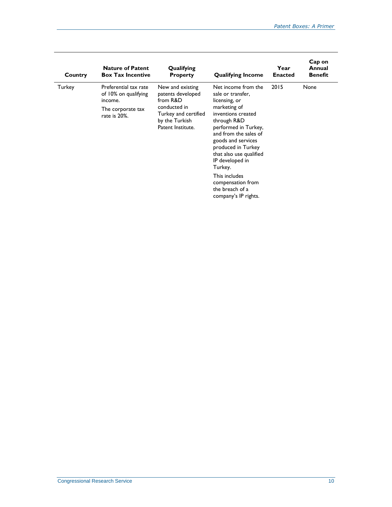| Country | <b>Nature of Patent</b><br><b>Box Tax Incentive</b>                                           | Qualifying<br><b>Property</b>                                                                                                    | <b>Qualifying Income</b>                                                                                                                                                                                                                                                                                                                              | Year<br><b>Enacted</b> | Cap on<br>Annual<br><b>Benefit</b> |
|---------|-----------------------------------------------------------------------------------------------|----------------------------------------------------------------------------------------------------------------------------------|-------------------------------------------------------------------------------------------------------------------------------------------------------------------------------------------------------------------------------------------------------------------------------------------------------------------------------------------------------|------------------------|------------------------------------|
| Turkey  | Preferential tax rate<br>of 10% on qualifying<br>income.<br>The corporate tax<br>rate is 20%. | New and existing<br>patents developed<br>from R&D<br>conducted in<br>Turkey and certified<br>by the Turkish<br>Patent Institute. | Net income from the<br>sale or transfer,<br>licensing, or<br>marketing of<br>inventions created<br>through R&D<br>performed in Turkey,<br>and from the sales of<br>goods and services<br>produced in Turkey<br>that also use qualified<br>IP developed in<br>Turkey.<br>This includes<br>compensation from<br>the breach of a<br>company's IP rights. | 2015                   | None                               |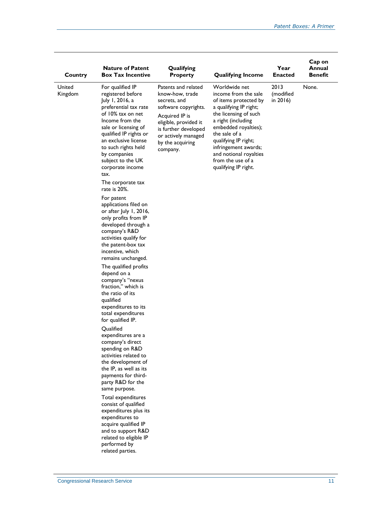| Country           | <b>Nature of Patent</b><br><b>Box Tax Incentive</b>                                                                                                                                                                                                                                                                                                                                                                                                                                                                                                                                                                                                                                                                                                                                                                                                                                                                                                                                                                                                                                                                                                                     | Qualifying<br><b>Property</b>                                                                                                                                                                            | <b>Qualifying Income</b>                                                                                                                                                                                                                                                                                | Year<br><b>Enacted</b>        | Cap on<br>Annual<br>Benefit |
|-------------------|-------------------------------------------------------------------------------------------------------------------------------------------------------------------------------------------------------------------------------------------------------------------------------------------------------------------------------------------------------------------------------------------------------------------------------------------------------------------------------------------------------------------------------------------------------------------------------------------------------------------------------------------------------------------------------------------------------------------------------------------------------------------------------------------------------------------------------------------------------------------------------------------------------------------------------------------------------------------------------------------------------------------------------------------------------------------------------------------------------------------------------------------------------------------------|----------------------------------------------------------------------------------------------------------------------------------------------------------------------------------------------------------|---------------------------------------------------------------------------------------------------------------------------------------------------------------------------------------------------------------------------------------------------------------------------------------------------------|-------------------------------|-----------------------------|
| United<br>Kingdom | For qualified IP<br>registered before<br>July 1, 2016, a<br>preferential tax rate<br>of 10% tax on net<br>Income from the<br>sale or licensing of<br>qualified IP rights or<br>an exclusive license<br>to such rights held<br>by companies<br>subject to the UK<br>corporate income<br>tax.<br>The corporate tax<br>rate is 20%.<br>For patent<br>applications filed on<br>or after July 1, 2016,<br>only profits from IP<br>developed through a<br>company's R&D<br>activities qualify for<br>the patent-box tax<br>incentive, which<br>remains unchanged.<br>The qualified profits<br>depend on a<br>company's "nexus<br>fraction," which is<br>the ratio of its<br>qualified<br>expenditures to its<br>total expenditures<br>for qualified IP.<br>Oualified<br>expenditures are a<br>company's direct<br>spending on R&D<br>activities related to<br>the development of<br>the IP, as well as its<br>payments for third-<br>party R&D for the<br>same purpose.<br>Total expenditures<br>consist of qualified<br>expenditures plus its<br>expenditures to<br>acquire qualified IP<br>and to support R&D<br>related to eligible IP<br>performed by<br>related parties. | Patents and related<br>know-how, trade<br>secrets, and<br>software copyrights.<br>Acquired IP is<br>eligible, provided it<br>is further developed<br>or actively managed<br>by the acquiring<br>company. | Worldwide net<br>income from the sale<br>of items protected by<br>a qualifying IP right;<br>the licensing of such<br>a right (including<br>embedded royalties);<br>the sale of a<br>qualifying IP right;<br>infringement awards;<br>and notional royalties<br>from the use of a<br>qualifying IP right. | 2013<br>(modified<br>in 2016) | None.                       |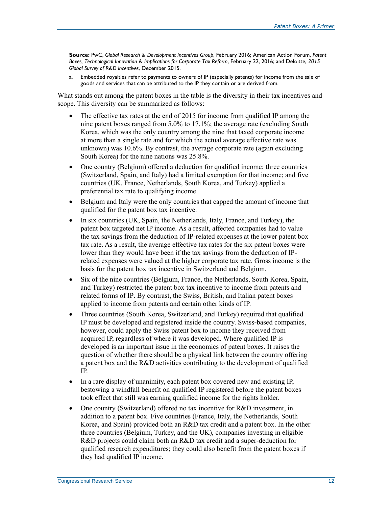**Source:** PwC, *Global Research & Development Incentives Group*, February 2016; American Action Forum, *Patent Boxes, Technological Innovation & Implications for Corporate Tax Reform*, February 22, 2016; and Deloitte, *2015 Global Survey of R&D incentives*, December 2015.

<span id="page-14-0"></span>a. Embedded royalties refer to payments to owners of IP (especially patents) for income from the sale of goods and services that can be attributed to the IP they contain or are derived from.

What stands out among the patent boxes in the table is the diversity in their tax incentives and scope. This diversity can be summarized as follows:

- The effective tax rates at the end of 2015 for income from qualified IP among the nine patent boxes ranged from 5.0% to 17.1%; the average rate (excluding South Korea, which was the only country among the nine that taxed corporate income at more than a single rate and for which the actual average effective rate was unknown) was 10.6%. By contrast, the average corporate rate (again excluding South Korea) for the nine nations was 25.8%.
- One country (Belgium) offered a deduction for qualified income; three countries (Switzerland, Spain, and Italy) had a limited exemption for that income; and five countries (UK, France, Netherlands, South Korea, and Turkey) applied a preferential tax rate to qualifying income.
- Belgium and Italy were the only countries that capped the amount of income that qualified for the patent box tax incentive.
- In six countries (UK, Spain, the Netherlands, Italy, France, and Turkey), the patent box targeted net IP income. As a result, affected companies had to value the tax savings from the deduction of IP-related expenses at the lower patent box tax rate. As a result, the average effective tax rates for the six patent boxes were lower than they would have been if the tax savings from the deduction of IPrelated expenses were valued at the higher corporate tax rate. Gross income is the basis for the patent box tax incentive in Switzerland and Belgium.
- Six of the nine countries (Belgium, France, the Netherlands, South Korea, Spain, and Turkey) restricted the patent box tax incentive to income from patents and related forms of IP. By contrast, the Swiss, British, and Italian patent boxes applied to income from patents and certain other kinds of IP.
- Three countries (South Korea, Switzerland, and Turkey) required that qualified IP must be developed and registered inside the country. Swiss-based companies, however, could apply the Swiss patent box to income they received from acquired IP, regardless of where it was developed. Where qualified IP is developed is an important issue in the economics of patent boxes. It raises the question of whether there should be a physical link between the country offering a patent box and the R&D activities contributing to the development of qualified IP.
- In a rare display of unanimity, each patent box covered new and existing IP, bestowing a windfall benefit on qualified IP registered before the patent boxes took effect that still was earning qualified income for the rights holder.
- One country (Switzerland) offered no tax incentive for R&D investment, in addition to a patent box. Five countries (France, Italy, the Netherlands, South Korea, and Spain) provided both an R&D tax credit and a patent box. In the other three countries (Belgium, Turkey, and the UK), companies investing in eligible R&D projects could claim both an R&D tax credit and a super-deduction for qualified research expenditures; they could also benefit from the patent boxes if they had qualified IP income.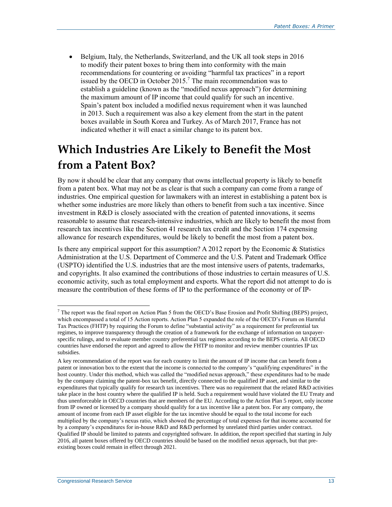Belgium, Italy, the Netherlands, Switzerland, and the UK all took steps in 2016 to modify their patent boxes to bring them into conformity with the main recommendations for countering or avoiding "harmful tax practices" in a report issued by the OECD in October 2015.<sup>7</sup> The main recommendation was to establish a guideline (known as the "modified nexus approach") for determining the maximum amount of IP income that could qualify for such an incentive. Spain's patent box included a modified nexus requirement when it was launched in 2013. Such a requirement was also a key element from the start in the patent boxes available in South Korea and Turkey. As of March 2017, France has not indicated whether it will enact a similar change to its patent box.

## **Which Industries Are Likely to Benefit the Most from a Patent Box?**

By now it should be clear that any company that owns intellectual property is likely to benefit from a patent box. What may not be as clear is that such a company can come from a range of industries. One empirical question for lawmakers with an interest in establishing a patent box is whether some industries are more likely than others to benefit from such a tax incentive. Since investment in R&D is closely associated with the creation of patented innovations, it seems reasonable to assume that research-intensive industries, which are likely to benefit the most from research tax incentives like the Section 41 research tax credit and the Section 174 expensing allowance for research expenditures, would be likely to benefit the most from a patent box.

Is there any empirical support for this assumption? A 2012 report by the Economic  $\&$  Statistics Administration at the U.S. Department of Commerce and the U.S. Patent and Trademark Office (USPTO) identified the U.S. industries that are the most intensive users of patents, trademarks, and copyrights. It also examined the contributions of those industries to certain measures of U.S. economic activity, such as total employment and exports. What the report did not attempt to do is measure the contribution of these forms of IP to the performance of the economy or of IP-

 $7$  The report was the final report on Action Plan 5 from the OECD's Base Erosion and Profit Shifting (BEPS) project, which encompassed a total of 15 Action reports. Action Plan 5 expanded the role of the OECD's Forum on Harmful Tax Practices (FHTP) by requiring the Forum to define "substantial activity" as a requirement for preferential tax regimes, to improve transparency through the creation of a framework for the exchange of information on taxpayerspecific rulings, and to evaluate member country preferential tax regimes according to the BEPS criteria. All OECD countries have endorsed the report and agreed to allow the FHTP to monitor and review member countries IP tax subsidies.

A key recommendation of the report was for each country to limit the amount of IP income that can benefit from a patent or innovation box to the extent that the income is connected to the company's "qualifying expenditures" in the host country. Under this method, which was called the "modified nexus approach," these expenditures had to be made by the company claiming the patent-box tax benefit, directly connected to the qualified IP asset, and similar to the expenditures that typically qualify for research tax incentives. There was no requirement that the related R&D activities take place in the host country where the qualified IP is held. Such a requirement would have violated the EU Treaty and thus unenforceable in OECD countries that are members of the EU. According to the Action Plan 5 report, only income from IP owned or licensed by a company should qualify for a tax incentive like a patent box. For any company, the amount of income from each IP asset eligible for the tax incentive should be equal to the total income for each multiplied by the company's nexus ratio, which showed the percentage of total expenses for that income accounted for by a company's expenditures for in-house R&D and R&D performed by unrelated third parties under contract. Qualified IP should be limited to patents and copyrighted software. In addition, the report specified that starting in July 2016, all patent boxes offered by OECD countries should be based on the modified nexus approach, but that preexisting boxes could remain in effect through 2021.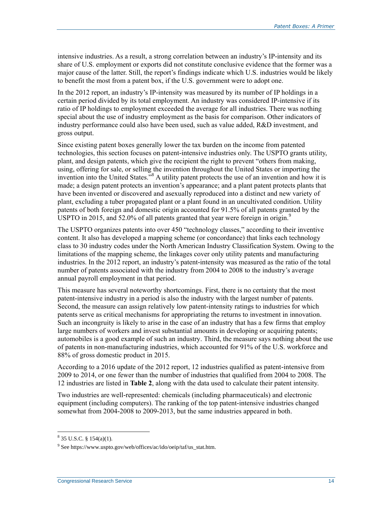intensive industries. As a result, a strong correlation between an industry's IP-intensity and its share of U.S. employment or exports did not constitute conclusive evidence that the former was a major cause of the latter. Still, the report's findings indicate which U.S. industries would be likely to benefit the most from a patent box, if the U.S. government were to adopt one.

In the 2012 report, an industry's IP-intensity was measured by its number of IP holdings in a certain period divided by its total employment. An industry was considered IP-intensive if its ratio of IP holdings to employment exceeded the average for all industries. There was nothing special about the use of industry employment as the basis for comparison. Other indicators of industry performance could also have been used, such as value added, R&D investment, and gross output.

Since existing patent boxes generally lower the tax burden on the income from patented technologies, this section focuses on patent-intensive industries only. The USPTO grants utility, plant, and design patents, which give the recipient the right to prevent "others from making, using, offering for sale, or selling the invention throughout the United States or importing the invention into the United States.<sup>38</sup> A utility patent protects the use of an invention and how it is made; a design patent protects an invention's appearance; and a plant patent protects plants that have been invented or discovered and asexually reproduced into a distinct and new variety of plant, excluding a tuber propagated plant or a plant found in an uncultivated condition. Utility patents of both foreign and domestic origin accounted for 91.5% of all patents granted by the USPTO in 2015, and 52.0% of all patents granted that year were foreign in origin.<sup>9</sup>

The USPTO organizes patents into over 450 "technology classes," according to their inventive content. It also has developed a mapping scheme (or concordance) that links each technology class to 30 industry codes under the North American Industry Classification System. Owing to the limitations of the mapping scheme, the linkages cover only utility patents and manufacturing industries. In the 2012 report, an industry's patent-intensity was measured as the ratio of the total number of patents associated with the industry from 2004 to 2008 to the industry's average annual payroll employment in that period.

This measure has several noteworthy shortcomings. First, there is no certainty that the most patent-intensive industry in a period is also the industry with the largest number of patents. Second, the measure can assign relatively low patent-intensity ratings to industries for which patents serve as critical mechanisms for appropriating the returns to investment in innovation. Such an incongruity is likely to arise in the case of an industry that has a few firms that employ large numbers of workers and invest substantial amounts in developing or acquiring patents; automobiles is a good example of such an industry. Third, the measure says nothing about the use of patents in non-manufacturing industries, which accounted for 91% of the U.S. workforce and 88% of gross domestic product in 2015.

According to a 2016 update of the 2012 report, 12 industries qualified as patent-intensive from 2009 to 2014, or one fewer than the number of industries that qualified from 2004 to 2008. The 12 industries are listed in **[Table 2](#page-17-0)**, along with the data used to calculate their patent intensity.

Two industries are well-represented: chemicals (including pharmaceuticals) and electronic equipment (including computers). The ranking of the top patent-intensive industries changed somewhat from 2004-2008 to 2009-2013, but the same industries appeared in both.

 $8$  35 U.S.C. § 154(a)(1).

<sup>&</sup>lt;sup>9</sup> See https://www.uspto.gov/web/offices/ac/ido/oeip/taf/us\_stat.htm.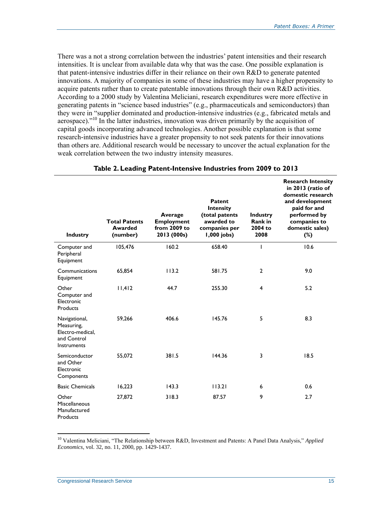There was a not a strong correlation between the industries' patent intensities and their research intensities. It is unclear from available data why that was the case. One possible explanation is that patent-intensive industries differ in their reliance on their own R&D to generate patented innovations. A majority of companies in some of these industries may have a higher propensity to acquire patents rather than to create patentable innovations through their own R&D activities. According to a 2000 study by Valentina Meliciani, research expenditures were more effective in generating patents in "science based industries" (e.g., pharmaceuticals and semiconductors) than they were in "supplier dominated and production-intensive industries (e.g., fabricated metals and aerospace)."<sup>10</sup> In the latter industries, innovation was driven primarily by the acquisition of capital goods incorporating advanced technologies. Another possible explanation is that some research-intensive industries have a greater propensity to not seek patents for their innovations than others are. Additional research would be necessary to uncover the actual explanation for the weak correlation between the two industry intensity measures.

<span id="page-17-0"></span>

| <b>Industry</b>                                                               | <b>Total Patents</b><br><b>Awarded</b><br>(number) | Average<br><b>Employment</b><br>from 2009 to<br>2013 (000s) | Patent<br>Intensity<br>(total patents<br>awarded to<br>companies per<br>1,000 jobs) | <b>Industry</b><br><b>Rank in</b><br>2004 to<br>2008 | <b>Research Intensity</b><br>in 2013 (ratio of<br>domestic research<br>and development<br>paid for and<br>performed by<br>companies to<br>domestic sales)<br>$(\%)$ |
|-------------------------------------------------------------------------------|----------------------------------------------------|-------------------------------------------------------------|-------------------------------------------------------------------------------------|------------------------------------------------------|---------------------------------------------------------------------------------------------------------------------------------------------------------------------|
| Computer and<br>Peripheral<br>Equipment                                       | 105,476                                            | 160.2                                                       | 658.40                                                                              | ı                                                    | 10.6                                                                                                                                                                |
| Communications<br>Equipment                                                   | 65,854                                             | 113.2                                                       | 581.75                                                                              | $\overline{2}$                                       | 9.0                                                                                                                                                                 |
| Other<br>Computer and<br>Electronic<br>Products                               | 11,412                                             | 44.7                                                        | 255.30                                                                              | 4                                                    | 5.2                                                                                                                                                                 |
| Navigational,<br>Measuring,<br>Electro-medical.<br>and Control<br>Instruments | 59,266                                             | 406.6                                                       | 145.76                                                                              | 5                                                    | 8.3                                                                                                                                                                 |
| Semiconductor<br>and Other<br>Electronic<br>Components                        | 55,072                                             | 381.5                                                       | 144.36                                                                              | 3                                                    | 18.5                                                                                                                                                                |
| <b>Basic Chemicals</b>                                                        | 16,223                                             | 143.3                                                       | 113.21                                                                              | 6                                                    | 0.6                                                                                                                                                                 |
| Other<br>Miscellaneous<br>Manufactured<br>Products                            | 27,872                                             | 318.3                                                       | 87.57                                                                               | 9                                                    | 2.7                                                                                                                                                                 |

#### **Table 2. Leading Patent-Intensive Industries from 2009 to 2013**

<sup>10</sup> Valentina Meliciani, "The Relationship between R&D, Investment and Patents: A Panel Data Analysis," *Applied Economics*, vol. 32, no. 11, 2000, pp. 1429-1437.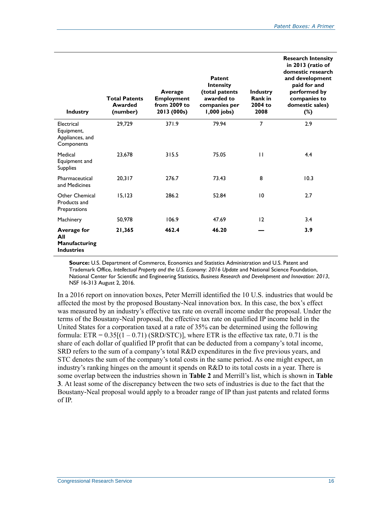| <b>Industry</b>                                                 | <b>Total Patents</b><br>Awarded<br>(number) | Average<br><b>Employment</b><br>from $2009$ to<br>2013 (000s) | Patent<br><b>Intensity</b><br>(total patents<br>awarded to<br>companies per<br>1,000 jobs) | <b>Industry</b><br>Rank in<br>2004 to<br>2008 | <b>Research Intensity</b><br>in 2013 (ratio of<br>domestic research<br>and development<br>paid for and<br>performed by<br>companies to<br>domestic sales)<br>$(\%)$ |
|-----------------------------------------------------------------|---------------------------------------------|---------------------------------------------------------------|--------------------------------------------------------------------------------------------|-----------------------------------------------|---------------------------------------------------------------------------------------------------------------------------------------------------------------------|
| Electrical<br>Equipment,<br>Appliances, and<br>Components       | 29,729                                      | 371.9                                                         | 79.94                                                                                      | $\overline{7}$                                | 2.9                                                                                                                                                                 |
| Medical<br>Equipment and<br><b>Supplies</b>                     | 23,678                                      | 315.5                                                         | 75.05                                                                                      | $\mathbf{H}$                                  | 4.4                                                                                                                                                                 |
| Pharmaceutical<br>and Medicines                                 | 20,317                                      | 276.7                                                         | 73.43                                                                                      | 8                                             | 10.3                                                                                                                                                                |
| Other Chemical<br>Products and<br>Preparations                  | 15, 123                                     | 286.2                                                         | 52.84                                                                                      | 10                                            | 2.7                                                                                                                                                                 |
| Machinery                                                       | 50.978                                      | 106.9                                                         | 47.69                                                                                      | 12                                            | 3.4                                                                                                                                                                 |
| <b>Average for</b><br>All<br>Manufacturing<br><b>Industries</b> | 21,365                                      | 462.4                                                         | 46.20                                                                                      |                                               | 3.9                                                                                                                                                                 |

**Source:** U.S. Department of Commerce, Economics and Statistics Administration and U.S. Patent and Trademark Office, *Intellectual Property and the U.S. Economy*: *2016 Update* and National Science Foundation, National Center for Scientific and Engineering Statistics, *Business Research and Development and Innovation: 2013*, NSF 16-313 August 2, 2016.

In a 2016 report on innovation boxes, Peter Merrill identified the 10 U.S. industries that would be affected the most by the proposed Boustany-Neal innovation box. In this case, the box's effect was measured by an industry's effective tax rate on overall income under the proposal. Under the terms of the Boustany-Neal proposal, the effective tax rate on qualified IP income held in the United States for a corporation taxed at a rate of 35% can be determined using the following formula:  $ETR = 0.35[(1 - 0.71) (SRD/STC)]$ , where ETR is the effective tax rate, 0.71 is the share of each dollar of qualified IP profit that can be deducted from a company's total income, SRD refers to the sum of a company's total R&D expenditures in the five previous years, and STC denotes the sum of the company's total costs in the same period. As one might expect, an industry's ranking hinges on the amount it spends on R&D to its total costs in a year. There is some overlap between the industries shown in **[Table 2](#page-17-0)** and Merrill's list, which is shown in **[Table](#page-19-0)  [3](#page-19-0)**. At least some of the discrepancy between the two sets of industries is due to the fact that the Boustany-Neal proposal would apply to a broader range of IP than just patents and related forms of IP.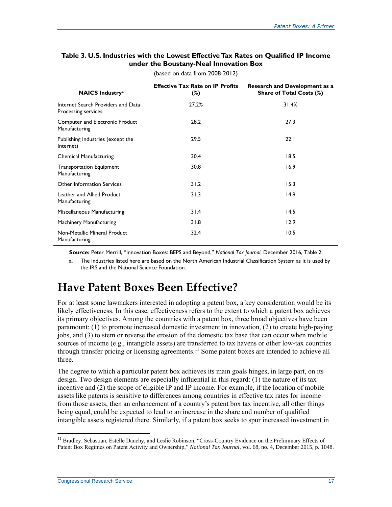#### <span id="page-19-0"></span>**Table 3. U.S. Industries with the Lowest Effective Tax Rates on Qualified IP Income under the Boustany-Neal Innovation Box**

| <b>NAICS Industrya</b>                                    | <b>Effective Tax Rate on IP Profits</b><br>$(\%)$ | <b>Research and Development as a</b><br>Share of Total Costs (%) |
|-----------------------------------------------------------|---------------------------------------------------|------------------------------------------------------------------|
| Internet Search Providers and Data<br>Processing services | 27.2%                                             | 31.4%                                                            |
| Computer and Electronic Product<br>Manufacturing          | 28.2                                              | 27.3                                                             |
| Publishing Industries (except the<br>Internet)            | 29.5                                              | 22.1                                                             |
| <b>Chemical Manufacturing</b>                             | 30.4                                              | 18.5                                                             |
| <b>Transportation Equipment</b><br>Manufacturing          | 30.8                                              | 16.9                                                             |
| Other Information Services                                | 31.2                                              | 15.3                                                             |
| Leather and Allied Product<br>Manufacturing               | 31.3                                              | 14.9                                                             |
| Miscellaneous Manufacturing                               | 31.4                                              | 14.5                                                             |
| Machinery Manufacturing                                   | 31.8                                              | 12.9                                                             |
| Non-Metallic Mineral Product<br>Manufacturing             | 32.4                                              | 10.5                                                             |

(based on data from 2008-2012)

**Source:** Peter Merrill, "Innovation Boxes: BEPS and Beyond," *National Tax Journal*, December 2016, Table 2.

<span id="page-19-1"></span>a. The industries listed here are based on the North American Industrial Classification System as it is used by the IRS and the National Science Foundation.

### **Have Patent Boxes Been Effective?**

For at least some lawmakers interested in adopting a patent box, a key consideration would be its likely effectiveness. In this case, effectiveness refers to the extent to which a patent box achieves its primary objectives. Among the countries with a patent box, three broad objectives have been paramount: (1) to promote increased domestic investment in innovation, (2) to create high-paying jobs, and (3) to stem or reverse the erosion of the domestic tax base that can occur when mobile sources of income (e.g., intangible assets) are transferred to tax havens or other low-tax countries through transfer pricing or licensing agreements.<sup>11</sup> Some patent boxes are intended to achieve all three.

The degree to which a particular patent box achieves its main goals hinges, in large part, on its design. Two design elements are especially influential in this regard: (1) the nature of its tax incentive and (2) the scope of eligible IP and IP income. For example, if the location of mobile assets like patents is sensitive to differences among countries in effective tax rates for income from those assets, then an enhancement of a country's patent box tax incentive, all other things being equal, could be expected to lead to an increase in the share and number of qualified intangible assets registered there. Similarly, if a patent box seeks to spur increased investment in

<sup>&</sup>lt;sup>11</sup> Bradley, Sebastian, Estelle Dauchy, and Leslie Robinson, "Cross-Country Evidence on the Preliminary Effects of Patent Box Regimes on Patent Activity and Ownership," *National Tax Journal*, vol. 68, no. 4, December 2015, p. 1048.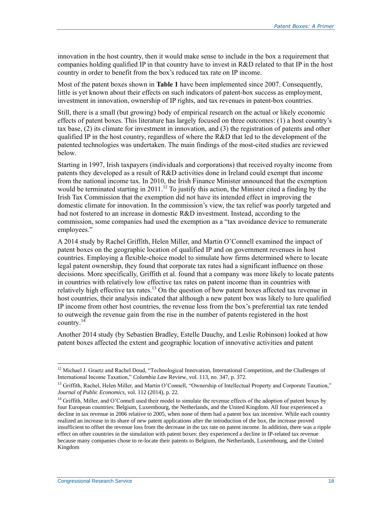innovation in the host country, then it would make sense to include in the box a requirement that companies holding qualified IP in that country have to invest in R&D related to that IP in the host country in order to benefit from the box's reduced tax rate on IP income.

Most of the patent boxes shown in **[Table 1](#page-8-0)** have been implemented since 2007. Consequently, little is yet known about their effects on such indicators of patent-box success as employment, investment in innovation, ownership of IP rights, and tax revenues in patent-box countries.

Still, there is a small (but growing) body of empirical research on the actual or likely economic effects of patent boxes. This literature has largely focused on three outcomes: (1) a host country's tax base, (2) its climate for investment in innovation, and (3) the registration of patents and other qualified IP in the host country, regardless of where the R&D that led to the development of the patented technologies was undertaken. The main findings of the most-cited studies are reviewed below.

Starting in 1997, Irish taxpayers (individuals and corporations) that received royalty income from patents they developed as a result of R&D activities done in Ireland could exempt that income from the national income tax. In 2010, the Irish Finance Minister announced that the exemption would be terminated starting in 2011.<sup>12</sup> To justify this action, the Minister cited a finding by the Irish Tax Commission that the exemption did not have its intended effect in improving the domestic climate for innovation. In the commission's view, the tax relief was poorly targeted and had not fostered to an increase in domestic R&D investment. Instead, according to the commission, some companies had used the exemption as a "tax avoidance device to remunerate employees."

A 2014 study by Rachel Griffith, Helen Miller, and Martin O'Connell examined the impact of patent boxes on the geographic location of qualified IP and on government revenues in host countries. Employing a flexible-choice model to simulate how firms determined where to locate legal patent ownership, they found that corporate tax rates had a significant influence on those decisions. More specifically, Griffith et al. found that a company was more likely to locate patents in countries with relatively low effective tax rates on patent income than in countries with relatively high effective tax rates.<sup>13</sup> On the question of how patent boxes affected tax revenue in host countries, their analysis indicated that although a new patent box was likely to lure qualified IP income from other host countries, the revenue loss from the box's preferential tax rate tended to outweigh the revenue gain from the rise in the number of patents registered in the host country.<sup>14</sup>

Another 2014 study (by Sebastien Bradley, Estelle Dauchy, and Leslie Robinson) looked at how patent boxes affected the extent and geographic location of innovative activities and patent

 $12$  Michael J. Graetz and Rachel Doud, "Technological Innovation, International Competition, and the Challenges of International Income Taxation," *Columbia Law* Review, vol. 113, no. 347, p. 372.

 $<sup>13</sup>$  Griffith, Rachel, Helen Miller, and Martin O'Connell, "Ownership of Intellectual Property and Corporate Taxation,"</sup> *Journal of Public Economics*, vol. 112 (2014), p. 22.

<sup>&</sup>lt;sup>14</sup> Griffith, Miller, and O'Connell used their model to simulate the revenue effects of the adoption of patent boxes by four European countries: Belgium, Luxembourg, the Netherlands, and the United Kingdom. All four experienced a decline in tax revenue in 2006 relative to 2005, when none of them had a patent box tax incentive. While each country realized an increase in its share of new patent applications after the introduction of the box, the increase proved insufficient to offset the revenue loss from the decrease in the tax rate on patent income. In addition, there was a ripple effect on other countries in the simulation with patent boxes: they experienced a decline in IP-related tax revenue because many companies chose to re-locate their patents to Belgium, the Netherlands, Luxembourg, and the United Kingdom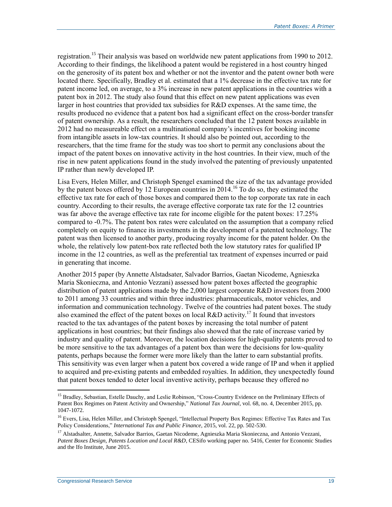registration.<sup>15</sup> Their analysis was based on worldwide new patent applications from 1990 to 2012. According to their findings, the likelihood a patent would be registered in a host country hinged on the generosity of its patent box and whether or not the inventor and the patent owner both were located there. Specifically, Bradley et al. estimated that a 1% decrease in the effective tax rate for patent income led, on average, to a 3% increase in new patent applications in the countries with a patent box in 2012. The study also found that this effect on new patent applications was even larger in host countries that provided tax subsidies for R&D expenses. At the same time, the results produced no evidence that a patent box had a significant effect on the cross-border transfer of patent ownership. As a result, the researchers concluded that the 12 patent boxes available in 2012 had no measureable effect on a multinational company's incentives for booking income from intangible assets in low-tax countries. It should also be pointed out, according to the researchers, that the time frame for the study was too short to permit any conclusions about the impact of the patent boxes on innovative activity in the host countries. In their view, much of the rise in new patent applications found in the study involved the patenting of previously unpatented IP rather than newly developed IP.

Lisa Evers, Helen Miller, and Christoph Spengel examined the size of the tax advantage provided by the patent boxes offered by 12 European countries in 2014.<sup>16</sup> To do so, they estimated the effective tax rate for each of those boxes and compared them to the top corporate tax rate in each country. According to their results, the average effective corporate tax rate for the 12 countries was far above the average effective tax rate for income eligible for the patent boxes: 17.25% compared to -0.7%. The patent box rates were calculated on the assumption that a company relied completely on equity to finance its investments in the development of a patented technology. The patent was then licensed to another party, producing royalty income for the patent holder. On the whole, the relatively low patent-box rate reflected both the low statutory rates for qualified IP income in the 12 countries, as well as the preferential tax treatment of expenses incurred or paid in generating that income.

Another 2015 paper (by Annette Alstadsater, Salvador Barrios, Gaetan Nicodeme, Agnieszka Maria Skonieczna, and Antonio Vezzani) assessed how patent boxes affected the geographic distribution of patent applications made by the 2,000 largest corporate R&D investors from 2000 to 2011 among 33 countries and within three industries: pharmaceuticals, motor vehicles, and information and communication technology. Twelve of the countries had patent boxes. The study also examined the effect of the patent boxes on local R&D activity.<sup>17</sup> It found that investors reacted to the tax advantages of the patent boxes by increasing the total number of patent applications in host countries; but their findings also showed that the rate of increase varied by industry and quality of patent. Moreover, the location decisions for high-quality patents proved to be more sensitive to the tax advantages of a patent box than were the decisions for low-quality patents, perhaps because the former were more likely than the latter to earn substantial profits. This sensitivity was even larger when a patent box covered a wide range of IP and when it applied to acquired and pre-existing patents and embedded royalties. In addition, they unexpectedly found that patent boxes tended to deter local inventive activity, perhaps because they offered no

<sup>&</sup>lt;sup>15</sup> Bradley, Sebastian, Estelle Dauchy, and Leslie Robinson, "Cross-Country Evidence on the Preliminary Effects of Patent Box Regimes on Patent Activity and Ownership," *National Tax Journal*, vol. 68, no. 4, December 2015, pp. 1047-1072.

<sup>&</sup>lt;sup>16</sup> Evers, Lisa, Helen Miller, and Christoph Spengel, "Intellectual Property Box Regimes: Effective Tax Rates and Tax Policy Considerations," *International Tax and Public Finance*, 2015, vol. 22, pp. 502-530.

<sup>&</sup>lt;sup>17</sup> Alstadsalter, Annette, Salvador Barrios, Gaetan Nicodeme, Agnieszka Maria Skonieczna, and Antonio Vezzani, *Patent Boxes Design, Patents Location and Local R&D*, CESifo working paper no. 5416, Center for Economic Studies and the Ifo Institute, June 2015.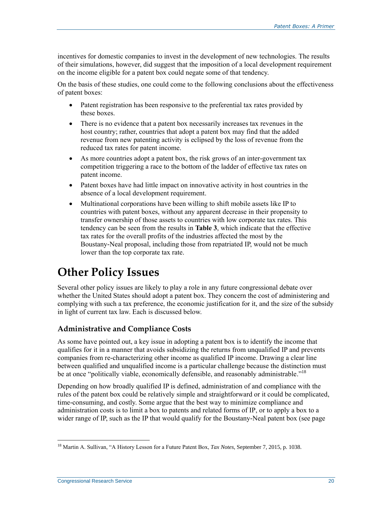incentives for domestic companies to invest in the development of new technologies. The results of their simulations, however, did suggest that the imposition of a local development requirement on the income eligible for a patent box could negate some of that tendency.

On the basis of these studies, one could come to the following conclusions about the effectiveness of patent boxes:

- Patent registration has been responsive to the preferential tax rates provided by these boxes.
- There is no evidence that a patent box necessarily increases tax revenues in the host country; rather, countries that adopt a patent box may find that the added revenue from new patenting activity is eclipsed by the loss of revenue from the reduced tax rates for patent income.
- As more countries adopt a patent box, the risk grows of an inter-government tax competition triggering a race to the bottom of the ladder of effective tax rates on patent income.
- Patent boxes have had little impact on innovative activity in host countries in the absence of a local development requirement.
- Multinational corporations have been willing to shift mobile assets like IP to countries with patent boxes, without any apparent decrease in their propensity to transfer ownership of those assets to countries with low corporate tax rates. This tendency can be seen from the results in **[Table 3](#page-19-0)**, which indicate that the effective tax rates for the overall profits of the industries affected the most by the Boustany-Neal proposal, including those from repatriated IP, would not be much lower than the top corporate tax rate.

# **Other Policy Issues**

Several other policy issues are likely to play a role in any future congressional debate over whether the United States should adopt a patent box. They concern the cost of administering and complying with such a tax preference, the economic justification for it, and the size of the subsidy in light of current tax law. Each is discussed below.

#### **Administrative and Compliance Costs**

As some have pointed out, a key issue in adopting a patent box is to identify the income that qualifies for it in a manner that avoids subsidizing the returns from unqualified IP and prevents companies from re-characterizing other income as qualified IP income. Drawing a clear line between qualified and unqualified income is a particular challenge because the distinction must be at once "politically viable, economically defensible, and reasonably administrable."<sup>18</sup>

Depending on how broadly qualified IP is defined, administration of and compliance with the rules of the patent box could be relatively simple and straightforward or it could be complicated, time-consuming, and costly. Some argue that the best way to minimize compliance and administration costs is to limit a box to patents and related forms of IP, or to apply a box to a wider range of IP, such as the IP that would qualify for the Boustany-Neal patent box (see page

<sup>18</sup> Martin A. Sullivan, "A History Lesson for a Future Patent Box, *Tax Notes*, September 7, 2015, p. 1038.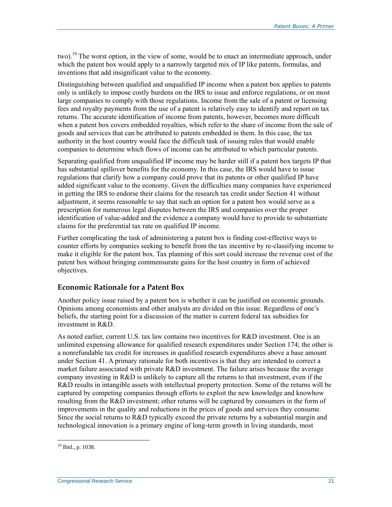two).<sup>19</sup> The worst option, in the view of some, would be to enact an intermediate approach, under which the patent box would apply to a narrowly targeted mix of IP like patents, formulas, and inventions that add insignificant value to the economy.

Distinguishing between qualified and unqualified IP income when a patent box applies to patents only is unlikely to impose costly burdens on the IRS to issue and enforce regulations, or on most large companies to comply with those regulations. Income from the sale of a patent or licensing fees and royalty payments from the use of a patent is relatively easy to identify and report on tax returns. The accurate identification of income from patents, however, becomes more difficult when a patent box covers embedded royalties, which refer to the share of income from the sale of goods and services that can be attributed to patents embedded in them. In this case, the tax authority in the host country would face the difficult task of issuing rules that would enable companies to determine which flows of income can be attributed to which particular patents.

Separating qualified from unqualified IP income may be harder still if a patent box targets IP that has substantial spillover benefits for the economy. In this case, the IRS would have to issue regulations that clarify how a company could prove that its patents or other qualified IP have added significant value to the economy. Given the difficulties many companies have experienced in getting the IRS to endorse their claims for the research tax credit under Section 41 without adjustment, it seems reasonable to say that such an option for a patent box would serve as a prescription for numerous legal disputes between the IRS and companies over the proper identification of value-added and the evidence a company would have to provide to substantiate claims for the preferential tax rate on qualified IP income.

Further complicating the task of administering a patent box is finding cost-effective ways to counter efforts by companies seeking to benefit from the tax incentive by re-classifying income to make it eligible for the patent box. Tax planning of this sort could increase the revenue cost of the patent box without bringing commensurate gains for the host country in form of achieved objectives.

#### **Economic Rationale for a Patent Box**

Another policy issue raised by a patent box is whether it can be justified on economic grounds. Opinions among economists and other analysts are divided on this issue. Regardless of one's beliefs, the starting point for a discussion of the matter is current federal tax subsidies for investment in R&D.

As noted earlier, current U.S. tax law contains two incentives for R&D investment. One is an unlimited expensing allowance for qualified research expenditures under Section 174; the other is a nonrefundable tax credit for increases in qualified research expenditures above a base amount under Section 41. A primary rationale for both incentives is that they are intended to correct a market failure associated with private R&D investment. The failure arises because the average company investing in R&D is unlikely to capture all the returns to that investment, even if the R&D results in intangible assets with intellectual property protection. Some of the returns will be captured by competing companies through efforts to exploit the new knowledge and knowhow resulting from the R&D investment; other returns will be captured by consumers in the form of improvements in the quality and reductions in the prices of goods and services they consume. Since the social returns to R&D typically exceed the private returns by a substantial margin and technological innovation is a primary engine of long-term growth in living standards, most

<sup>&</sup>lt;sup>19</sup> Ibid., p. 1038.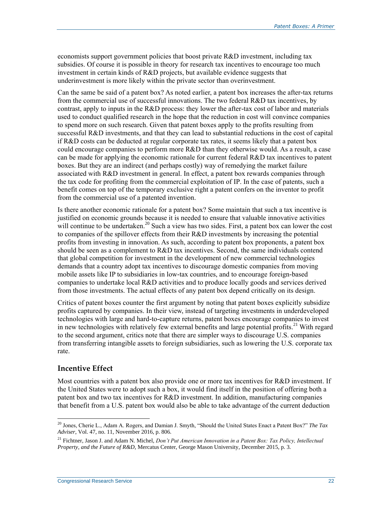economists support government policies that boost private R&D investment, including tax subsidies. Of course it is possible in theory for research tax incentives to encourage too much investment in certain kinds of R&D projects, but available evidence suggests that underinvestment is more likely within the private sector than overinvestment.

Can the same be said of a patent box? As noted earlier, a patent box increases the after-tax returns from the commercial use of successful innovations. The two federal R&D tax incentives, by contrast, apply to inputs in the R&D process: they lower the after-tax cost of labor and materials used to conduct qualified research in the hope that the reduction in cost will convince companies to spend more on such research. Given that patent boxes apply to the profits resulting from successful R&D investments, and that they can lead to substantial reductions in the cost of capital if R&D costs can be deducted at regular corporate tax rates, it seems likely that a patent box could encourage companies to perform more R&D than they otherwise would. As a result, a case can be made for applying the economic rationale for current federal R&D tax incentives to patent boxes. But they are an indirect (and perhaps costly) way of remedying the market failure associated with R&D investment in general. In effect, a patent box rewards companies through the tax code for profiting from the commercial exploitation of IP. In the case of patents, such a benefit comes on top of the temporary exclusive right a patent confers on the inventor to profit from the commercial use of a patented invention.

Is there another economic rationale for a patent box? Some maintain that such a tax incentive is justified on economic grounds because it is needed to ensure that valuable innovative activities will continue to be undertaken.<sup>20</sup> Such a view has two sides. First, a patent box can lower the cost to companies of the spillover effects from their R&D investments by increasing the potential profits from investing in innovation. As such, according to patent box proponents, a patent box should be seen as a complement to R&D tax incentives. Second, the same individuals contend that global competition for investment in the development of new commercial technologies demands that a country adopt tax incentives to discourage domestic companies from moving mobile assets like IP to subsidiaries in low-tax countries, and to encourage foreign-based companies to undertake local R&D activities and to produce locally goods and services derived from those investments. The actual effects of any patent box depend critically on its design.

Critics of patent boxes counter the first argument by noting that patent boxes explicitly subsidize profits captured by companies. In their view, instead of targeting investments in underdeveloped technologies with large and hard-to-capture returns, patent boxes encourage companies to invest in new technologies with relatively few external benefits and large potential profits.<sup>21</sup> With regard to the second argument, critics note that there are simpler ways to discourage U.S. companies from transferring intangible assets to foreign subsidiaries, such as lowering the U.S. corporate tax rate.

#### **Incentive Effect**

 $\overline{a}$ 

Most countries with a patent box also provide one or more tax incentives for R&D investment. If the United States were to adopt such a box, it would find itself in the position of offering both a patent box and two tax incentives for R&D investment. In addition, manufacturing companies that benefit from a U.S. patent box would also be able to take advantage of the current deduction

<sup>20</sup> Jones, Cherie L., Adam A. Rogers, and Damian J. Smyth, "Should the United States Enact a Patent Box?" *The Tax Adviser*, Vol. 47, no. 11, November 2016, p. 806.

<sup>21</sup> Fichtner, Jason J. and Adam N. Michel, *Don't Put American Innovation in a Patent Box: Tax Policy, Intellectual Property, and the Future of R&D*, Mercatus Center, George Mason University, December 2015, p. 3.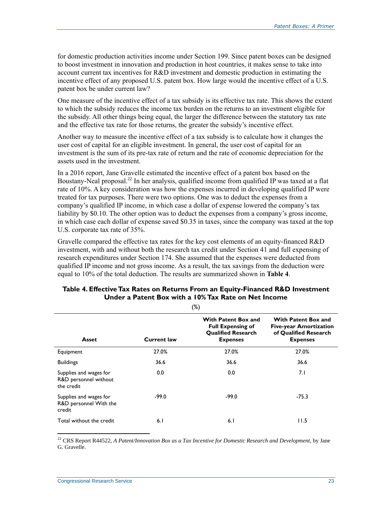for domestic production activities income under Section 199. Since patent boxes can be designed to boost investment in innovation and production in host countries, it makes sense to take into account current tax incentives for R&D investment and domestic production in estimating the incentive effect of any proposed U.S. patent box. How large would the incentive effect of a U.S. patent box be under current law?

One measure of the incentive effect of a tax subsidy is its effective tax rate. This shows the extent to which the subsidy reduces the income tax burden on the returns to an investment eligible for the subsidy. All other things being equal, the larger the difference between the statutory tax rate and the effective tax rate for those returns, the greater the subsidy's incentive effect.

Another way to measure the incentive effect of a tax subsidy is to calculate how it changes the user cost of capital for an eligible investment. In general, the user cost of capital for an investment is the sum of its pre-tax rate of return and the rate of economic depreciation for the assets used in the investment.

In a 2016 report, Jane Gravelle estimated the incentive effect of a patent box based on the Boustany-Neal proposal.<sup>22</sup> In her analysis, qualified income from qualified IP was taxed at a flat rate of 10%. A key consideration was how the expenses incurred in developing qualified IP were treated for tax purposes. There were two options. One was to deduct the expenses from a company's qualified IP income, in which case a dollar of expense lowered the company's tax liability by \$0.10. The other option was to deduct the expenses from a company's gross income, in which case each dollar of expense saved \$0.35 in taxes, since the company was taxed at the top U.S. corporate tax rate of 35%.

Gravelle compared the effective tax rates for the key cost elements of an equity-financed R&D investment, with and without both the research tax credit under Section 41 and full expensing of research expenditures under Section 174. She assumed that the expenses were deducted from qualified IP income and not gross income. As a result, the tax savings from the deduction were equal to 10% of the total deduction. The results are summarized shown in **[Table 4](#page-25-0)**.

| $\sqrt{2}$                                                    |                    |                                                                                                 |                                                                                                         |  |  |
|---------------------------------------------------------------|--------------------|-------------------------------------------------------------------------------------------------|---------------------------------------------------------------------------------------------------------|--|--|
| Asset                                                         | <b>Current law</b> | With Patent Box and<br><b>Full Expensing of</b><br><b>Qualified Research</b><br><b>Expenses</b> | <b>With Patent Box and</b><br><b>Five-year Amortization</b><br>of Qualified Research<br><b>Expenses</b> |  |  |
| Equipment                                                     | 27.0%              | 27.0%                                                                                           | 27.0%                                                                                                   |  |  |
| <b>Buildings</b>                                              | 36.6               | 36.6                                                                                            | 36.6                                                                                                    |  |  |
| Supplies and wages for<br>R&D personnel without<br>the credit | 0.0                | 0.0                                                                                             | 7.I                                                                                                     |  |  |
| Supplies and wages for<br>R&D personnel With the<br>credit    | $-99.0$            | $-99.0$                                                                                         | $-75.3$                                                                                                 |  |  |
| Total without the credit                                      | 6.1                | 6.1                                                                                             | 11.5                                                                                                    |  |  |

#### <span id="page-25-0"></span>**Table 4. Effective Tax Rates on Returns From an Equity-Financed R&D Investment Under a Patent Box with a 10% Tax Rate on Net Income**  $(9/1)$

<sup>22</sup> CRS Report R44522, *A Patent/Innovation Box as a Tax Incentive for Domestic Research and Development*, by Jane G. Gravelle.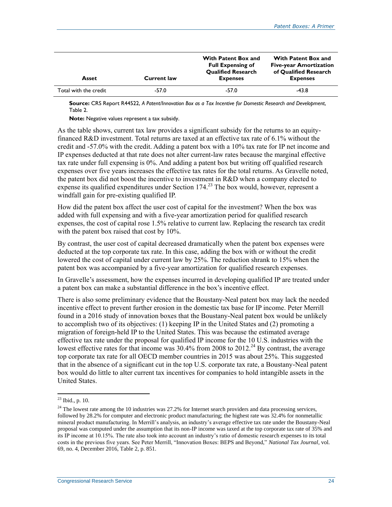| Asset                 | <b>Current law</b> | With Patent Box and<br><b>Full Expensing of</b><br><b>Qualified Research</b><br><b>Expenses</b> | <b>With Patent Box and</b><br><b>Five-year Amortization</b><br>of Qualified Research<br><b>Expenses</b> |
|-----------------------|--------------------|-------------------------------------------------------------------------------------------------|---------------------------------------------------------------------------------------------------------|
| Total with the credit | $-57.0$            | $-57.0$                                                                                         | -43.8                                                                                                   |

**Source:** CRS Report R44522, *A Patent/Innovation Box as a Tax Incentive for Domestic Research and Development*, Table 2.

**Note:** Negative values represent a tax subsidy.

As the table shows, current tax law provides a significant subsidy for the returns to an equityfinanced R&D investment. Total returns are taxed at an effective tax rate of 6.1% without the credit and -57.0% with the credit. Adding a patent box with a 10% tax rate for IP net income and IP expenses deducted at that rate does not alter current-law rates because the marginal effective tax rate under full expensing is 0%. And adding a patent box but writing off qualified research expenses over five years increases the effective tax rates for the total returns. As Gravelle noted, the patent box did not boost the incentive to investment in R&D when a company elected to expense its qualified expenditures under Section 174.<sup>23</sup> The box would, however, represent a windfall gain for pre-existing qualified IP.

How did the patent box affect the user cost of capital for the investment? When the box was added with full expensing and with a five-year amortization period for qualified research expenses, the cost of capital rose 1.5% relative to current law. Replacing the research tax credit with the patent box raised that cost by 10%.

By contrast, the user cost of capital decreased dramatically when the patent box expenses were deducted at the top corporate tax rate. In this case, adding the box with or without the credit lowered the cost of capital under current law by 25%. The reduction shrank to 15% when the patent box was accompanied by a five-year amortization for qualified research expenses.

In Gravelle's assessment, how the expenses incurred in developing qualified IP are treated under a patent box can make a substantial difference in the box's incentive effect.

There is also some preliminary evidence that the Boustany-Neal patent box may lack the needed incentive effect to prevent further erosion in the domestic tax base for IP income. Peter Merrill found in a 2016 study of innovation boxes that the Boustany-Neal patent box would be unlikely to accomplish two of its objectives: (1) keeping IP in the United States and (2) promoting a migration of foreign-held IP to the United States. This was because the estimated average effective tax rate under the proposal for qualified IP income for the 10 U.S. industries with the lowest effective rates for that income was  $30.4\%$  from 2008 to 2012.<sup>24</sup> By contrast, the average top corporate tax rate for all OECD member countries in 2015 was about 25%. This suggested that in the absence of a significant cut in the top U.S. corporate tax rate, a Boustany-Neal patent box would do little to alter current tax incentives for companies to hold intangible assets in the United States.

 $23$  Ibid., p. 10.

 $^{24}$  The lowest rate among the 10 industries was 27.2% for Internet search providers and data processing services, followed by 28.2% for computer and electronic product manufacturing; the highest rate was 32.4% for nonmetallic mineral product manufacturing. In Merrill's analysis, an industry's average effective tax rate under the Boustany-Neal proposal was computed under the assumption that its non-IP income was taxed at the top corporate tax rate of 35% and its IP income at 10.15%. The rate also took into account an industry's ratio of domestic research expenses to its total costs in the previous five years. See Peter Merrill, "Innovation Boxes: BEPS and Beyond," *National Tax Journal*, vol. 69, no. 4, December 2016, Table 2, p. 851.